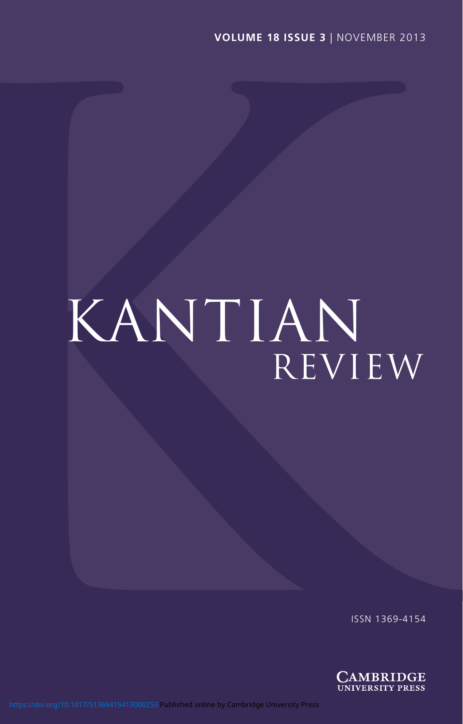# KANTIAN REVIEW

ISSN 1369-4154

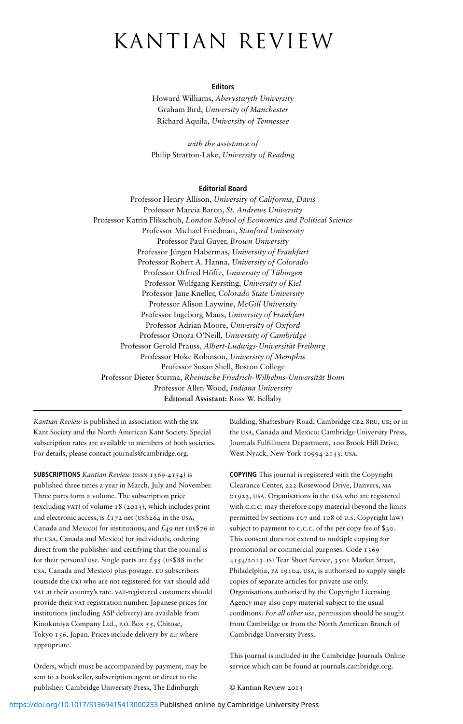# kantian review

#### **Editors**

Howard Williams, *Aberystwyth University* Graham Bird, *University of Manchester* Richard Aquila, *University of Tennessee*

*with the assistance of* Philip Stratton-Lake, *University of Reading*

#### **Editorial Board**

Professor Henry Allison, *University of California, Davis* Professor Marcia Baron, *St. Andrews University* Professor Katrin Flikschuh, *London School of Economics and Political Science* Professor Michael Friedman, *Stanford University* Professor Paul Guyer, *Brown University* Professor Jürgen Habermas, *University of Frankfurt* Professor Robert A. Hanna, *University of Colorado* Professor Otfried Höffe, *University of Tübingen* Professor Wolfgang Kersting, *University of Kiel* Professor Jane Kneller, *Colorado State University* Professor Alison Laywine, *McGill University* Professor Ingeborg Maus, *University of Frankfurt* Professor Adrian Moore, *University of Oxford* Professor Onora O'Neill, *University of Cambridge* Professor Gerold Prauss, *Albert-Ludwigs-Universität Freiburg* Professor Hoke Robinson, *University of Memphis* Professor Susan Shell, Boston College Professor Dieter Sturma, *Rheinische Friedrich-Wilhelms-Universität Bonn* Professor Allen Wood, *Indiana University* **Editorial Assistant:** Ross W. Bellaby

*Kantian Review* is published in association with the uk Kant Society and the North American Kant Society. Special subscription rates are available to members of both societies. For details, please contact journals@cambridge.org.

**SUBSCRIPTIONS** *Kantian Review* (issn 1369-4154) is published three times a year in March, July and November. Three parts form a volume. The subscription price (excluding vat) of volume 18 (2013), which includes print and electronic access, is  $£172$  net (us\$264 in the usA, Canada and Mexico) for institutions; and  $\pounds$ 49 net (us\$76 in the usa, Canada and Mexico) for individuals, ordering direct from the publisher and certifying that the journal is for their personal use. Single parts are  $\mathcal{L}_5$  (us\$88 in the usa, Canada and Mexico) plus postage. eu subscribers (outside the UK) who are not registered for VAT should add vat at their country's rate. vat-registered customers should provide their vat registration number. Japanese prices for institutions (including ASP delivery) are available from Kinokuniya Company Ltd., p.o. Box 55, Chitose, Tokyo 156, Japan. Prices include delivery by air where appropriate.

Orders, which must be accompanied by payment, may be sent to a bookseller, subscription agent or direct to the publisher: Cambridge University Press, The Edinburgh

Building, Shaftesbury Road, Cambridge CB2 8RU, UK; or in the usa, Canada and Mexico: Cambridge University Press, Journals Fulfillment Department, 100 Brook Hill Drive, West Nyack, New York 10994-2133, usa.

**COPYING** This journal is registered with the Copyright Clearance Center, 222 Rosewood Drive, Danvers, ma 01923, usa. Organisations in the usa who are registered with c.c.c. may therefore copy material (beyond the limits permitted by sections 107 and 108 of u.s. Copyright law) subject to payment to c.c.c. of the per copy fee of \$30. This consent does not extend to multiple copying for promotional or commercial purposes. Code 1369- 4154/2013. isi Tear Sheet Service, 3501 Market Street, Philadelphia, pa 19104, usa, is authorised to supply single copies of separate articles for private use only. Organisations authorised by the Copyright Licensing Agency may also copy material subject to the usual conditions. *For all other use*, permission should be sought from Cambridge or from the North American Branch of Cambridge University Press.

This journal is included in the Cambridge Journals Online service which can be found at journals.cambridge.org.

© Kantian Review 2013